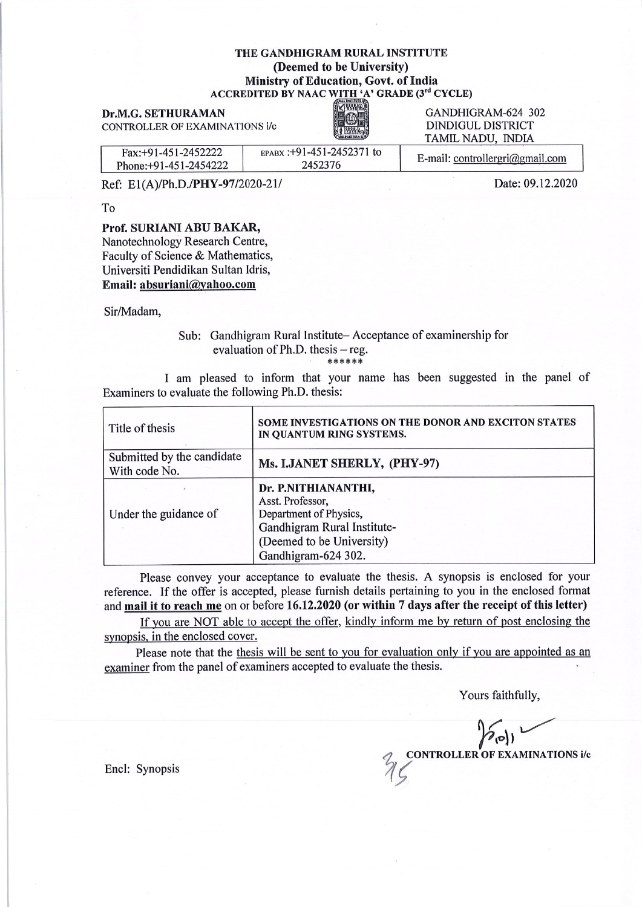#### THE GANDHIGRAM RURAL INSTITUTE (Deemed to be University) **Ministry of Education, Govt. of India** ACCREDITED BY NAAC WITH 'A' GRADE (3rd CYCLE)

Dr.M.G. SETHURAMAN CONTROLLER OF EXAMINATIONS i/c



GANDHIGRAM-624 302 **DINDIGUL DISTRICT** TAMIL NADU, INDIA

| $Fax: +91-451-2452222$<br>Phone: +91-451-2454222 | EPABX : +91-451-2452371 to<br>2452376 | E-mail: controllergri@gmail.com |
|--------------------------------------------------|---------------------------------------|---------------------------------|
| Ref: E1(A)/Ph.D./PHY-97/2020-21/                 |                                       | Date: 09.12.2020                |

Ref: E1(A)/Ph.D./PHY-97/2020-21/

T<sub>o</sub>

#### Prof. SURIANI ABU BAKAR,

Nanotechnology Research Centre, Faculty of Science & Mathematics, Universiti Pendidikan Sultan Idris, Email: absuriani@yahoo.com

Sir/Madam,

#### Sub: Gandhigram Rural Institute-Acceptance of examinership for evaluation of  $Ph.D.$  thesis  $-$  reg. \*\*\*\*\*\*

I am pleased to inform that your name has been suggested in the panel of Examiners to evaluate the following Ph.D. thesis:

| Title of thesis                             | SOME INVESTIGATIONS ON THE DONOR AND EXCITON STATES<br>IN QUANTUM RING SYSTEMS.                                                                      |  |
|---------------------------------------------|------------------------------------------------------------------------------------------------------------------------------------------------------|--|
| Submitted by the candidate<br>With code No. | Ms. I.JANET SHERLY, (PHY-97)                                                                                                                         |  |
| Under the guidance of                       | Dr. P.NITHIANANTHI,<br>Asst. Professor,<br>Department of Physics,<br>Gandhigram Rural Institute-<br>(Deemed to be University)<br>Gandhigram-624 302. |  |

Please convey your acceptance to evaluate the thesis. A synopsis is enclosed for your reference. If the offer is accepted, please furnish details pertaining to you in the enclosed format and mail it to reach me on or before 16.12.2020 (or within 7 days after the receipt of this letter)

If you are NOT able to accept the offer, kindly inform me by return of post enclosing the synopsis, in the enclosed cover.

Please note that the thesis will be sent to you for evaluation only if you are appointed as an examiner from the panel of examiners accepted to evaluate the thesis.

Yours faithfully,

 $^{\prime}$ ( $\circ$ ) **CONTROLLER OF EXAMINATIONS i/c** 

Encl: Synopsis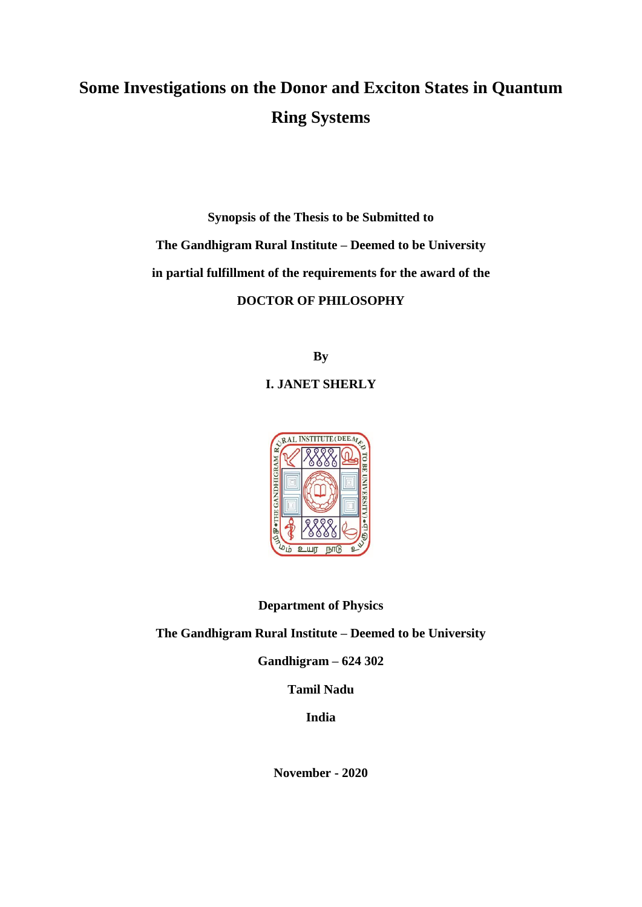# **Some Investigations on the Donor and Exciton States in Quantum Ring Systems**

**Synopsis of the Thesis to be Submitted to The Gandhigram Rural Institute – Deemed to be University in partial fulfillment of the requirements for the award of the DOCTOR OF PHILOSOPHY**

**By**

# **I. JANET SHERLY**



# **Department of Physics**

# **The Gandhigram Rural Institute – Deemed to be University**

**Gandhigram – 624 302**

**Tamil Nadu**

**India**

**November - 2020**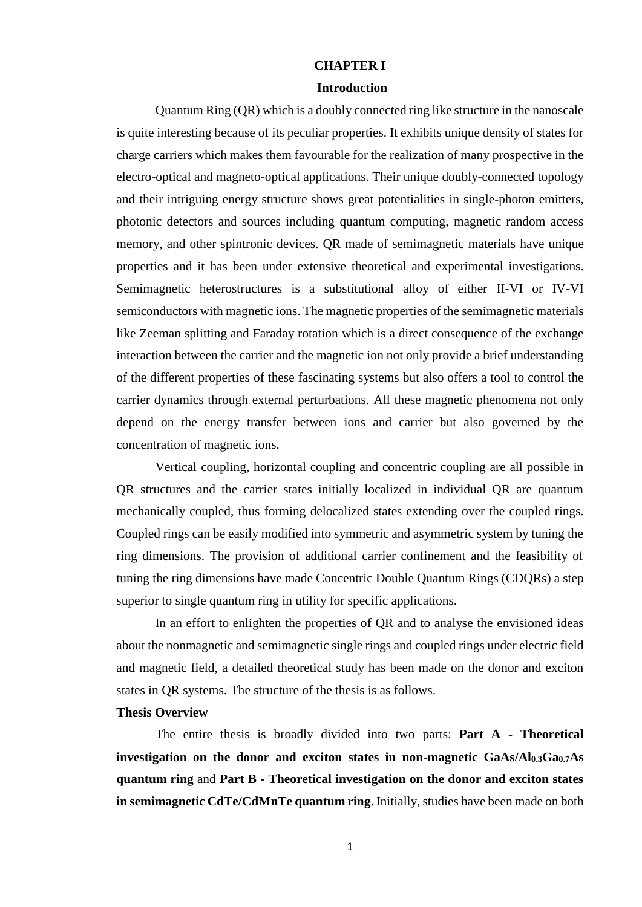# **CHAPTER I**

#### **Introduction**

Quantum Ring (QR) which is a doubly connected ring like structure in the nanoscale is quite interesting because of its peculiar properties. It exhibits unique density of states for charge carriers which makes them favourable for the realization of many prospective in the electro-optical and magneto-optical applications. Their unique doubly-connected topology and their intriguing energy structure shows great potentialities in single-photon emitters, photonic detectors and sources including quantum computing, magnetic random access memory, and other spintronic devices. QR made of semimagnetic materials have unique properties and it has been under extensive theoretical and experimental investigations. Semimagnetic heterostructures is a substitutional alloy of either II-VI or IV-VI semiconductors with magnetic ions. The magnetic properties of the semimagnetic materials like Zeeman splitting and Faraday rotation which is a direct consequence of the exchange interaction between the carrier and the magnetic ion not only provide a brief understanding of the different properties of these fascinating systems but also offers a tool to control the carrier dynamics through external perturbations. All these magnetic phenomena not only depend on the energy transfer between ions and carrier but also governed by the concentration of magnetic ions.

Vertical coupling, horizontal coupling and concentric coupling are all possible in QR structures and the carrier states initially localized in individual QR are quantum mechanically coupled, thus forming delocalized states extending over the coupled rings. Coupled rings can be easily modified into symmetric and asymmetric system by tuning the ring dimensions. The provision of additional carrier confinement and the feasibility of tuning the ring dimensions have made Concentric Double Quantum Rings (CDQRs) a step superior to single quantum ring in utility for specific applications.

In an effort to enlighten the properties of QR and to analyse the envisioned ideas about the nonmagnetic and semimagnetic single rings and coupled rings under electric field and magnetic field, a detailed theoretical study has been made on the donor and exciton states in QR systems. The structure of the thesis is as follows.

#### **Thesis Overview**

The entire thesis is broadly divided into two parts: **Part A - Theoretical investigation on the donor and exciton states in non-magnetic GaAs/Al0.3Ga0.7As quantum ring** and **Part B - Theoretical investigation on the donor and exciton states in semimagnetic CdTe/CdMnTe quantum ring**. Initially, studies have been made on both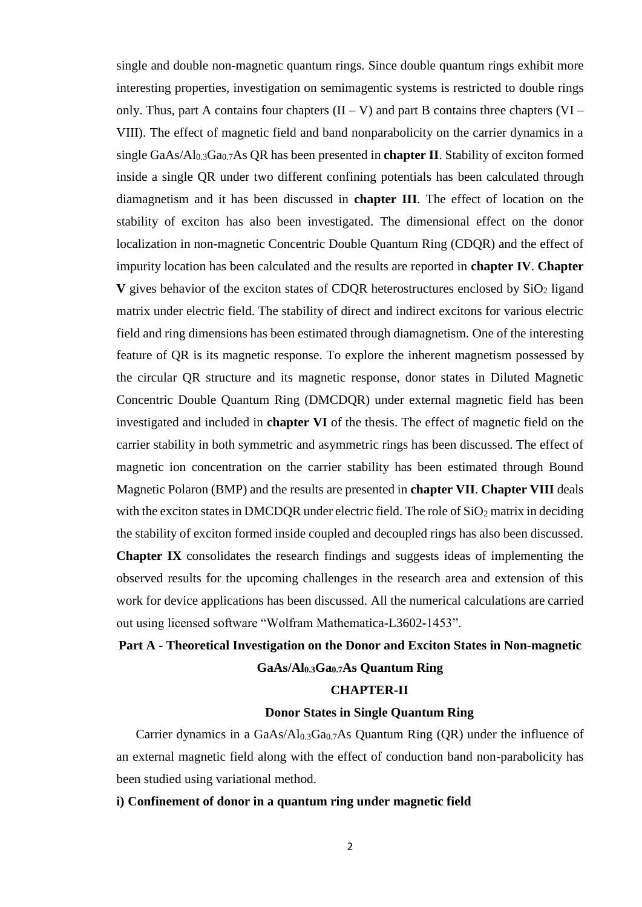single and double non-magnetic quantum rings. Since double quantum rings exhibit more interesting properties, investigation on semimagentic systems is restricted to double rings only. Thus, part A contains four chapters  $(II - V)$  and part B contains three chapters  $(VI - V)$ VIII). The effect of magnetic field and band nonparabolicity on the carrier dynamics in a single GaAs/Al<sub>0.3</sub>Ga<sub>0.7</sub>As QR has been presented in **chapter II**. Stability of exciton formed inside a single QR under two different confining potentials has been calculated through diamagnetism and it has been discussed in **chapter III**. The effect of location on the stability of exciton has also been investigated. The dimensional effect on the donor localization in non-magnetic Concentric Double Quantum Ring (CDQR) and the effect of impurity location has been calculated and the results are reported in **chapter IV**. **Chapter V** gives behavior of the exciton states of CDQR heterostructures enclosed by  $SiO<sub>2</sub>$  ligand matrix under electric field. The stability of direct and indirect excitons for various electric field and ring dimensions has been estimated through diamagnetism. One of the interesting feature of QR is its magnetic response. To explore the inherent magnetism possessed by the circular QR structure and its magnetic response, donor states in Diluted Magnetic Concentric Double Quantum Ring (DMCDQR) under external magnetic field has been investigated and included in **chapter VI** of the thesis. The effect of magnetic field on the carrier stability in both symmetric and asymmetric rings has been discussed. The effect of magnetic ion concentration on the carrier stability has been estimated through Bound Magnetic Polaron (BMP) and the results are presented in **chapter VII**. **Chapter VIII** deals with the exciton states in DMCDQR under electric field. The role of  $SiO<sub>2</sub>$  matrix in deciding the stability of exciton formed inside coupled and decoupled rings has also been discussed. **Chapter IX** consolidates the research findings and suggests ideas of implementing the observed results for the upcoming challenges in the research area and extension of this work for device applications has been discussed. All the numerical calculations are carried out using licensed software "Wolfram Mathematica-L3602-1453".

# **Part A - Theoretical Investigation on the Donor and Exciton States in Non-magnetic GaAs/Al0.3Ga0.7As Quantum Ring**

# **CHAPTER-II**

# **Donor States in Single Quantum Ring**

Carrier dynamics in a  $GaAs/Al<sub>0.3</sub>Ga<sub>0.7</sub>As Quantum Ring (QR) under the influence of$ an external magnetic field along with the effect of conduction band non-parabolicity has been studied using variational method.

### **i) Confinement of donor in a quantum ring under magnetic field**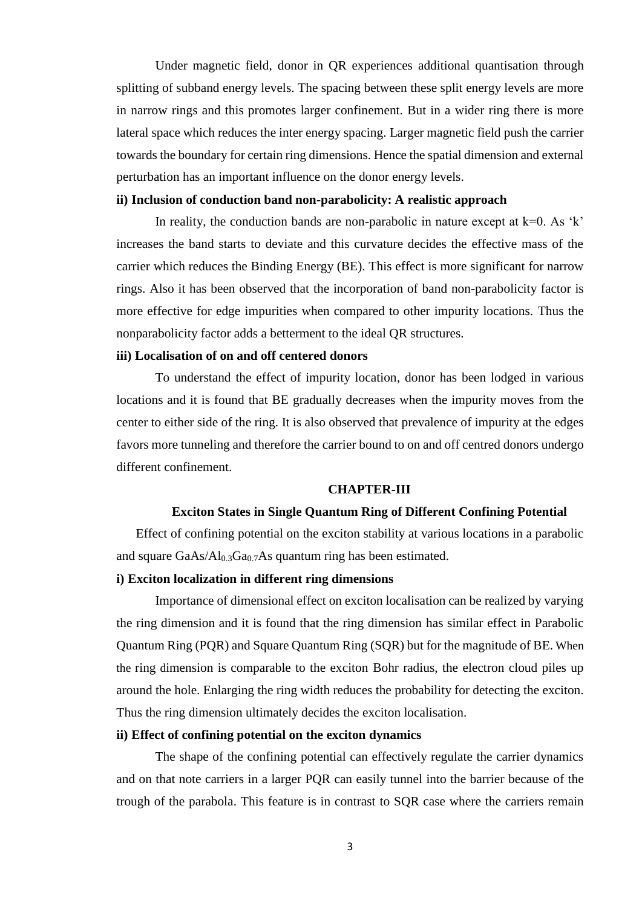Under magnetic field, donor in QR experiences additional quantisation through splitting of subband energy levels. The spacing between these split energy levels are more in narrow rings and this promotes larger confinement. But in a wider ring there is more lateral space which reduces the inter energy spacing. Larger magnetic field push the carrier towards the boundary for certain ring dimensions. Hence the spatial dimension and external perturbation has an important influence on the donor energy levels.

#### **ii) Inclusion of conduction band non-parabolicity: A realistic approach**

In reality, the conduction bands are non-parabolic in nature except at  $k=0$ . As 'k' increases the band starts to deviate and this curvature decides the effective mass of the carrier which reduces the Binding Energy (BE). This effect is more significant for narrow rings. Also it has been observed that the incorporation of band non-parabolicity factor is more effective for edge impurities when compared to other impurity locations. Thus the nonparabolicity factor adds a betterment to the ideal QR structures.

#### **iii) Localisation of on and off centered donors**

To understand the effect of impurity location, donor has been lodged in various locations and it is found that BE gradually decreases when the impurity moves from the center to either side of the ring. It is also observed that prevalence of impurity at the edges favors more tunneling and therefore the carrier bound to on and off centred donors undergo different confinement.

# **CHAPTER-III**

#### **Exciton States in Single Quantum Ring of Different Confining Potential**

Effect of confining potential on the exciton stability at various locations in a parabolic and square GaAs/Al<sub>0.3</sub>Ga<sub>0.7</sub>As quantum ring has been estimated.

#### **i) Exciton localization in different ring dimensions**

Importance of dimensional effect on exciton localisation can be realized by varying the ring dimension and it is found that the ring dimension has similar effect in Parabolic Quantum Ring (PQR) and Square Quantum Ring (SQR) but for the magnitude of BE. When the ring dimension is comparable to the exciton Bohr radius, the electron cloud piles up around the hole. Enlarging the ring width reduces the probability for detecting the exciton. Thus the ring dimension ultimately decides the exciton localisation.

# **ii) Effect of confining potential on the exciton dynamics**

The shape of the confining potential can effectively regulate the carrier dynamics and on that note carriers in a larger PQR can easily tunnel into the barrier because of the trough of the parabola. This feature is in contrast to SQR case where the carriers remain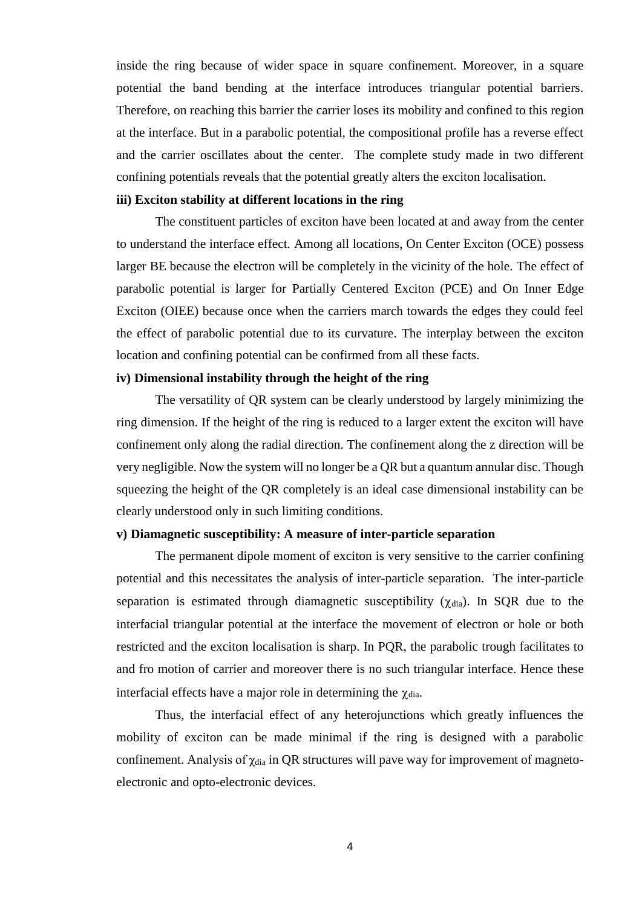inside the ring because of wider space in square confinement. Moreover, in a square potential the band bending at the interface introduces triangular potential barriers. Therefore, on reaching this barrier the carrier loses its mobility and confined to this region at the interface. But in a parabolic potential, the compositional profile has a reverse effect and the carrier oscillates about the center. The complete study made in two different confining potentials reveals that the potential greatly alters the exciton localisation.

#### **iii) Exciton stability at different locations in the ring**

The constituent particles of exciton have been located at and away from the center to understand the interface effect. Among all locations, On Center Exciton (OCE) possess larger BE because the electron will be completely in the vicinity of the hole. The effect of parabolic potential is larger for Partially Centered Exciton (PCE) and On Inner Edge Exciton (OIEE) because once when the carriers march towards the edges they could feel the effect of parabolic potential due to its curvature. The interplay between the exciton location and confining potential can be confirmed from all these facts.

# **iv) Dimensional instability through the height of the ring**

The versatility of QR system can be clearly understood by largely minimizing the ring dimension. If the height of the ring is reduced to a larger extent the exciton will have confinement only along the radial direction. The confinement along the z direction will be very negligible. Now the system will no longer be a QR but a quantum annular disc. Though squeezing the height of the QR completely is an ideal case dimensional instability can be clearly understood only in such limiting conditions.

#### **v) Diamagnetic susceptibility: A measure of inter-particle separation**

The permanent dipole moment of exciton is very sensitive to the carrier confining potential and this necessitates the analysis of inter-particle separation. The inter-particle separation is estimated through diamagnetic susceptibility  $(\chi_{diab})$ . In SQR due to the interfacial triangular potential at the interface the movement of electron or hole or both restricted and the exciton localisation is sharp. In PQR, the parabolic trough facilitates to and fro motion of carrier and moreover there is no such triangular interface. Hence these interfacial effects have a major role in determining the  $\gamma_{\text{dia}}$ .

Thus, the interfacial effect of any heterojunctions which greatly influences the mobility of exciton can be made minimal if the ring is designed with a parabolic confinement. Analysis of  $\gamma_{dia}$  in QR structures will pave way for improvement of magnetoelectronic and opto-electronic devices.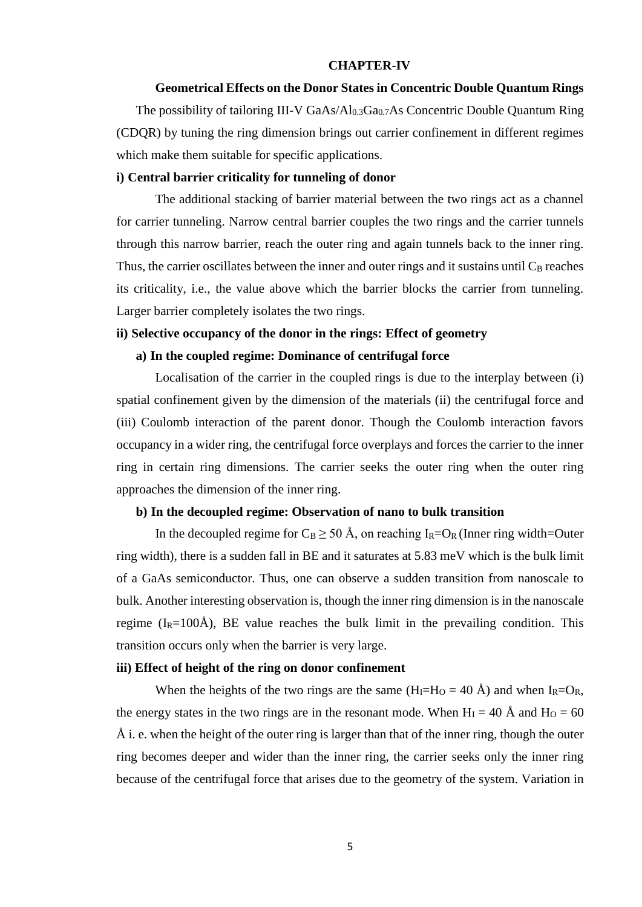#### **CHAPTER-IV**

#### **Geometrical Effects on the Donor States in Concentric Double Quantum Rings**

The possibility of tailoring III-V  $GaAs/Al<sub>0.3</sub>Ga<sub>0.7</sub>As$  Concentric Double Quantum Ring (CDQR) by tuning the ring dimension brings out carrier confinement in different regimes which make them suitable for specific applications.

#### **i) Central barrier criticality for tunneling of donor**

The additional stacking of barrier material between the two rings act as a channel for carrier tunneling. Narrow central barrier couples the two rings and the carrier tunnels through this narrow barrier, reach the outer ring and again tunnels back to the inner ring. Thus, the carrier oscillates between the inner and outer rings and it sustains until  $C_B$  reaches its criticality, i.e., the value above which the barrier blocks the carrier from tunneling. Larger barrier completely isolates the two rings.

# **ii) Selective occupancy of the donor in the rings: Effect of geometry**

### **a) In the coupled regime: Dominance of centrifugal force**

Localisation of the carrier in the coupled rings is due to the interplay between (i) spatial confinement given by the dimension of the materials (ii) the centrifugal force and (iii) Coulomb interaction of the parent donor. Though the Coulomb interaction favors occupancy in a wider ring, the centrifugal force overplays and forces the carrier to the inner ring in certain ring dimensions. The carrier seeks the outer ring when the outer ring approaches the dimension of the inner ring.

#### **b) In the decoupled regime: Observation of nano to bulk transition**

In the decoupled regime for  $C_B \geq 50$  Å, on reaching I<sub>R</sub>=O<sub>R</sub> (Inner ring width=Outer ring width), there is a sudden fall in BE and it saturates at 5.83 meV which is the bulk limit of a GaAs semiconductor. Thus, one can observe a sudden transition from nanoscale to bulk. Another interesting observation is, though the inner ring dimension is in the nanoscale regime  $(I_R=100\text{\AA})$ , BE value reaches the bulk limit in the prevailing condition. This transition occurs only when the barrier is very large.

### **iii) Effect of height of the ring on donor confinement**

When the heights of the two rings are the same  $(H_I=H_O = 40 \text{ Å})$  and when  $I_R=O_R$ , the energy states in the two rings are in the resonant mode. When  $H<sub>I</sub> = 40$  Å and  $H<sub>O</sub> = 60$ Å i. e. when the height of the outer ring is larger than that of the inner ring, though the outer ring becomes deeper and wider than the inner ring, the carrier seeks only the inner ring because of the centrifugal force that arises due to the geometry of the system. Variation in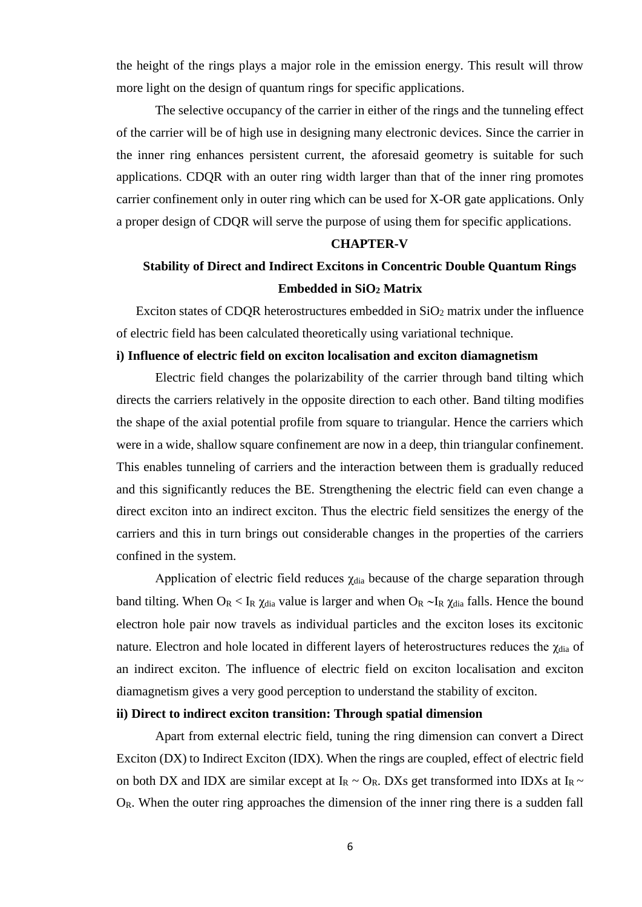the height of the rings plays a major role in the emission energy. This result will throw more light on the design of quantum rings for specific applications.

The selective occupancy of the carrier in either of the rings and the tunneling effect of the carrier will be of high use in designing many electronic devices. Since the carrier in the inner ring enhances persistent current, the aforesaid geometry is suitable for such applications. CDQR with an outer ring width larger than that of the inner ring promotes carrier confinement only in outer ring which can be used for X-OR gate applications. Only a proper design of CDQR will serve the purpose of using them for specific applications.

#### **CHAPTER-V**

# **Stability of Direct and Indirect Excitons in Concentric Double Quantum Rings Embedded in SiO<sup>2</sup> Matrix**

Exciton states of CDQR heterostructures embedded in  $SiO<sub>2</sub>$  matrix under the influence of electric field has been calculated theoretically using variational technique.

### **i) Influence of electric field on exciton localisation and exciton diamagnetism**

Electric field changes the polarizability of the carrier through band tilting which directs the carriers relatively in the opposite direction to each other. Band tilting modifies the shape of the axial potential profile from square to triangular. Hence the carriers which were in a wide, shallow square confinement are now in a deep, thin triangular confinement. This enables tunneling of carriers and the interaction between them is gradually reduced and this significantly reduces the BE. Strengthening the electric field can even change a direct exciton into an indirect exciton. Thus the electric field sensitizes the energy of the carriers and this in turn brings out considerable changes in the properties of the carriers confined in the system.

Application of electric field reduces  $\chi_{dia}$  because of the charge separation through band tilting. When  $O_R < I_R \chi_{dia}$  value is larger and when  $O_R \sim I_R \chi_{dia}$  falls. Hence the bound electron hole pair now travels as individual particles and the exciton loses its excitonic nature. Electron and hole located in different layers of heterostructures reduces the  $\gamma_{dia}$  of an indirect exciton. The influence of electric field on exciton localisation and exciton diamagnetism gives a very good perception to understand the stability of exciton.

#### **ii) Direct to indirect exciton transition: Through spatial dimension**

Apart from external electric field, tuning the ring dimension can convert a Direct Exciton (DX) to Indirect Exciton (IDX). When the rings are coupled, effect of electric field on both DX and IDX are similar except at  $I_R \sim O_R$ . DXs get transformed into IDXs at  $I_R \sim$ OR. When the outer ring approaches the dimension of the inner ring there is a sudden fall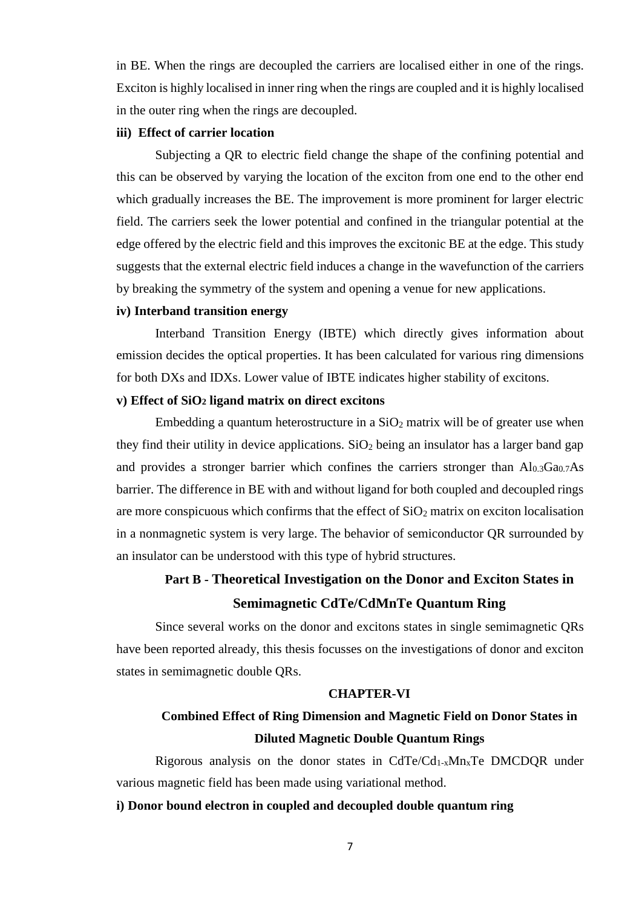in BE. When the rings are decoupled the carriers are localised either in one of the rings. Exciton is highly localised in inner ring when the rings are coupled and it is highly localised in the outer ring when the rings are decoupled.

#### **iii) Effect of carrier location**

Subjecting a QR to electric field change the shape of the confining potential and this can be observed by varying the location of the exciton from one end to the other end which gradually increases the BE. The improvement is more prominent for larger electric field. The carriers seek the lower potential and confined in the triangular potential at the edge offered by the electric field and this improves the excitonic BE at the edge. This study suggests that the external electric field induces a change in the wavefunction of the carriers by breaking the symmetry of the system and opening a venue for new applications.

#### **iv) Interband transition energy**

Interband Transition Energy (IBTE) which directly gives information about emission decides the optical properties. It has been calculated for various ring dimensions for both DXs and IDXs. Lower value of IBTE indicates higher stability of excitons.

# **v) Effect of SiO<sup>2</sup> ligand matrix on direct excitons**

Embedding a quantum heterostructure in a  $SiO<sub>2</sub>$  matrix will be of greater use when they find their utility in device applications.  $SiO<sub>2</sub>$  being an insulator has a larger band gap and provides a stronger barrier which confines the carriers stronger than  $Al_{0.3}Ga_{0.7}As$ barrier. The difference in BE with and without ligand for both coupled and decoupled rings are more conspicuous which confirms that the effect of  $SiO<sub>2</sub>$  matrix on exciton localisation in a nonmagnetic system is very large. The behavior of semiconductor QR surrounded by an insulator can be understood with this type of hybrid structures.

# **Part B - Theoretical Investigation on the Donor and Exciton States in Semimagnetic CdTe/CdMnTe Quantum Ring**

Since several works on the donor and excitons states in single semimagnetic QRs have been reported already, this thesis focusses on the investigations of donor and exciton states in semimagnetic double QRs.

#### **CHAPTER-VI**

# **Combined Effect of Ring Dimension and Magnetic Field on Donor States in Diluted Magnetic Double Quantum Rings**

Rigorous analysis on the donor states in  $CdTe/Cd<sub>1-x</sub>Mn<sub>x</sub>Te$  DMCDQR under various magnetic field has been made using variational method.

### **i) Donor bound electron in coupled and decoupled double quantum ring**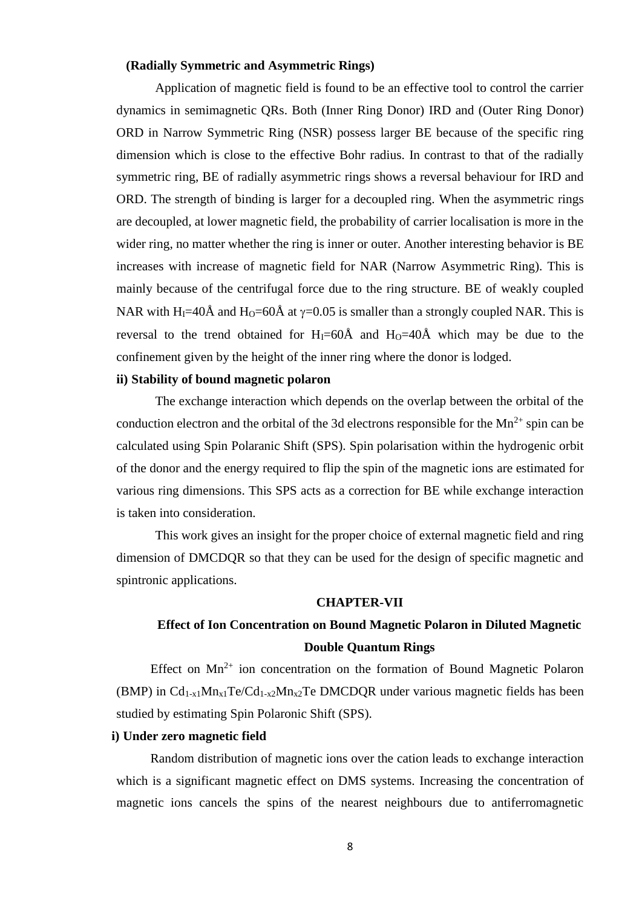#### **(Radially Symmetric and Asymmetric Rings)**

Application of magnetic field is found to be an effective tool to control the carrier dynamics in semimagnetic QRs. Both (Inner Ring Donor) IRD and (Outer Ring Donor) ORD in Narrow Symmetric Ring (NSR) possess larger BE because of the specific ring dimension which is close to the effective Bohr radius. In contrast to that of the radially symmetric ring, BE of radially asymmetric rings shows a reversal behaviour for IRD and ORD. The strength of binding is larger for a decoupled ring. When the asymmetric rings are decoupled, at lower magnetic field, the probability of carrier localisation is more in the wider ring, no matter whether the ring is inner or outer. Another interesting behavior is BE increases with increase of magnetic field for NAR (Narrow Asymmetric Ring). This is mainly because of the centrifugal force due to the ring structure. BE of weakly coupled NAR with H<sub>I</sub>=40Å and H<sub>O</sub>=60Å at  $\gamma$ =0.05 is smaller than a strongly coupled NAR. This is reversal to the trend obtained for  $H_1=60\text{\AA}$  and  $H_0=40\text{\AA}$  which may be due to the confinement given by the height of the inner ring where the donor is lodged.

# **ii) Stability of bound magnetic polaron**

The exchange interaction which depends on the overlap between the orbital of the conduction electron and the orbital of the 3d electrons responsible for the  $Mn^{2+}$  spin can be calculated using Spin Polaranic Shift (SPS). Spin polarisation within the hydrogenic orbit of the donor and the energy required to flip the spin of the magnetic ions are estimated for various ring dimensions. This SPS acts as a correction for BE while exchange interaction is taken into consideration.

This work gives an insight for the proper choice of external magnetic field and ring dimension of DMCDQR so that they can be used for the design of specific magnetic and spintronic applications.

#### **CHAPTER-VII**

# **Effect of Ion Concentration on Bound Magnetic Polaron in Diluted Magnetic Double Quantum Rings**

Effect on  $Mn^{2+}$  ion concentration on the formation of Bound Magnetic Polaron (BMP) in  $Cd_{1-x}Mn_{x1}Te/Cd_{1-x2}Mn_{x2}Te$  DMCDOR under various magnetic fields has been studied by estimating Spin Polaronic Shift (SPS).

# **i) Under zero magnetic field**

Random distribution of magnetic ions over the cation leads to exchange interaction which is a significant magnetic effect on DMS systems. Increasing the concentration of magnetic ions cancels the spins of the nearest neighbours due to antiferromagnetic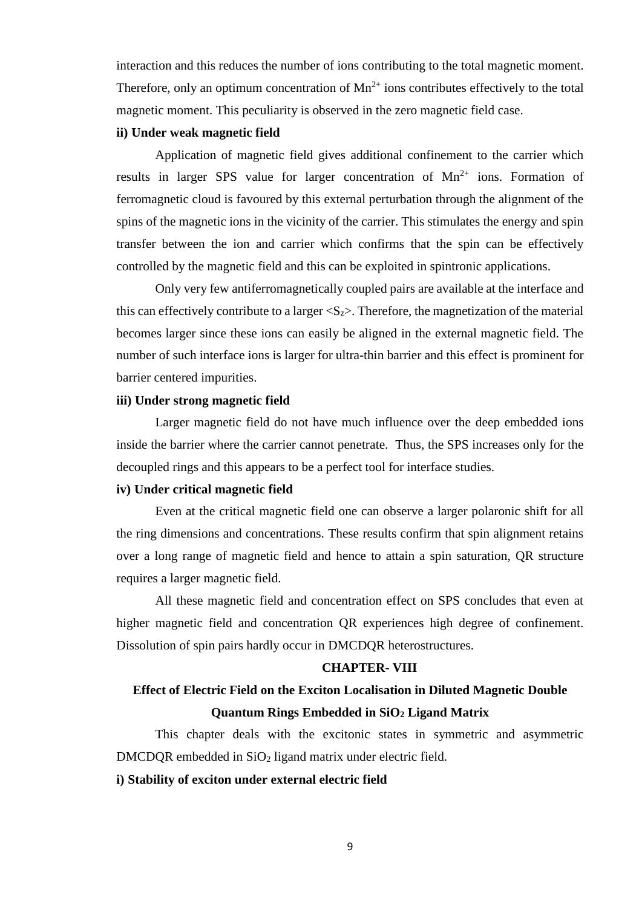interaction and this reduces the number of ions contributing to the total magnetic moment. Therefore, only an optimum concentration of  $Mn^{2+}$  ions contributes effectively to the total magnetic moment. This peculiarity is observed in the zero magnetic field case.

#### **ii) Under weak magnetic field**

Application of magnetic field gives additional confinement to the carrier which results in larger SPS value for larger concentration of  $Mn^{2+}$  ions. Formation of ferromagnetic cloud is favoured by this external perturbation through the alignment of the spins of the magnetic ions in the vicinity of the carrier. This stimulates the energy and spin transfer between the ion and carrier which confirms that the spin can be effectively controlled by the magnetic field and this can be exploited in spintronic applications.

Only very few antiferromagnetically coupled pairs are available at the interface and this can effectively contribute to a larger  $\langle S_z \rangle$ . Therefore, the magnetization of the material becomes larger since these ions can easily be aligned in the external magnetic field. The number of such interface ions is larger for ultra-thin barrier and this effect is prominent for barrier centered impurities.

# **iii) Under strong magnetic field**

Larger magnetic field do not have much influence over the deep embedded ions inside the barrier where the carrier cannot penetrate. Thus, the SPS increases only for the decoupled rings and this appears to be a perfect tool for interface studies.

# **iv) Under critical magnetic field**

Even at the critical magnetic field one can observe a larger polaronic shift for all the ring dimensions and concentrations. These results confirm that spin alignment retains over a long range of magnetic field and hence to attain a spin saturation, QR structure requires a larger magnetic field.

All these magnetic field and concentration effect on SPS concludes that even at higher magnetic field and concentration QR experiences high degree of confinement. Dissolution of spin pairs hardly occur in DMCDQR heterostructures.

#### **CHAPTER- VIII**

# **Effect of Electric Field on the Exciton Localisation in Diluted Magnetic Double Quantum Rings Embedded in SiO<sup>2</sup> Ligand Matrix**

This chapter deals with the excitonic states in symmetric and asymmetric DMCDQR embedded in SiO<sub>2</sub> ligand matrix under electric field.

#### **i) Stability of exciton under external electric field**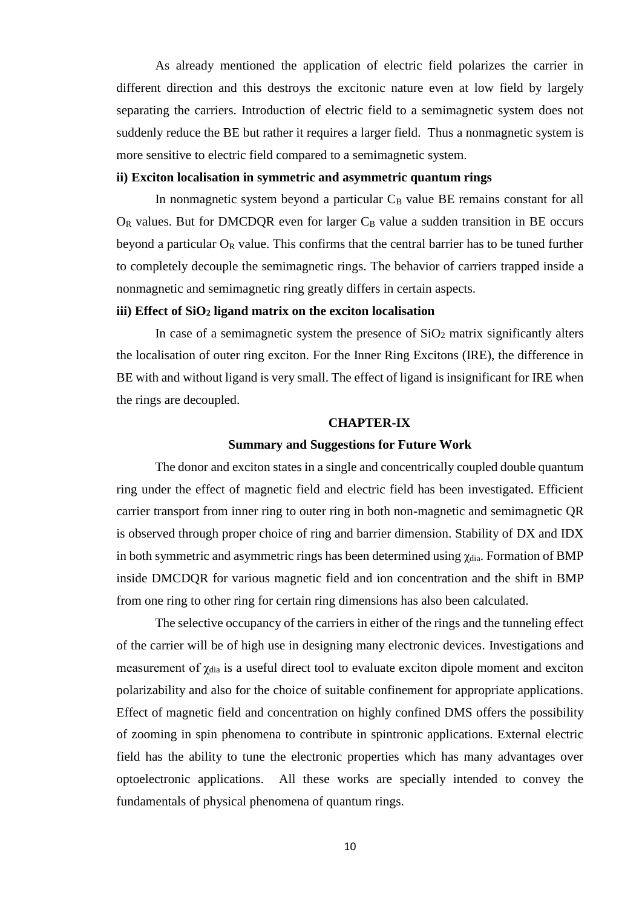As already mentioned the application of electric field polarizes the carrier in different direction and this destroys the excitonic nature even at low field by largely separating the carriers. Introduction of electric field to a semimagnetic system does not suddenly reduce the BE but rather it requires a larger field. Thus a nonmagnetic system is more sensitive to electric field compared to a semimagnetic system.

#### **ii) Exciton localisation in symmetric and asymmetric quantum rings**

In nonmagnetic system beyond a particular  $C_B$  value BE remains constant for all  $O_R$  values. But for DMCDQR even for larger  $C_B$  value a sudden transition in BE occurs beyond a particular  $O_R$  value. This confirms that the central barrier has to be tuned further to completely decouple the semimagnetic rings. The behavior of carriers trapped inside a nonmagnetic and semimagnetic ring greatly differs in certain aspects.

#### **iii) Effect of SiO<sup>2</sup> ligand matrix on the exciton localisation**

In case of a semimagnetic system the presence of  $SiO<sub>2</sub>$  matrix significantly alters the localisation of outer ring exciton. For the Inner Ring Excitons (IRE), the difference in BE with and without ligand is very small. The effect of ligand is insignificant for IRE when the rings are decoupled.

#### **CHAPTER-IX**

#### **Summary and Suggestions for Future Work**

The donor and exciton states in a single and concentrically coupled double quantum ring under the effect of magnetic field and electric field has been investigated. Efficient carrier transport from inner ring to outer ring in both non-magnetic and semimagnetic QR is observed through proper choice of ring and barrier dimension. Stability of DX and IDX in both symmetric and asymmetric rings has been determined using  $\gamma_{dia}$ . Formation of BMP inside DMCDQR for various magnetic field and ion concentration and the shift in BMP from one ring to other ring for certain ring dimensions has also been calculated.

The selective occupancy of the carriers in either of the rings and the tunneling effect of the carrier will be of high use in designing many electronic devices. Investigations and measurement of  $\chi_{dia}$  is a useful direct tool to evaluate exciton dipole moment and exciton polarizability and also for the choice of suitable confinement for appropriate applications. Effect of magnetic field and concentration on highly confined DMS offers the possibility of zooming in spin phenomena to contribute in spintronic applications. External electric field has the ability to tune the electronic properties which has many advantages over optoelectronic applications. All these works are specially intended to convey the fundamentals of physical phenomena of quantum rings.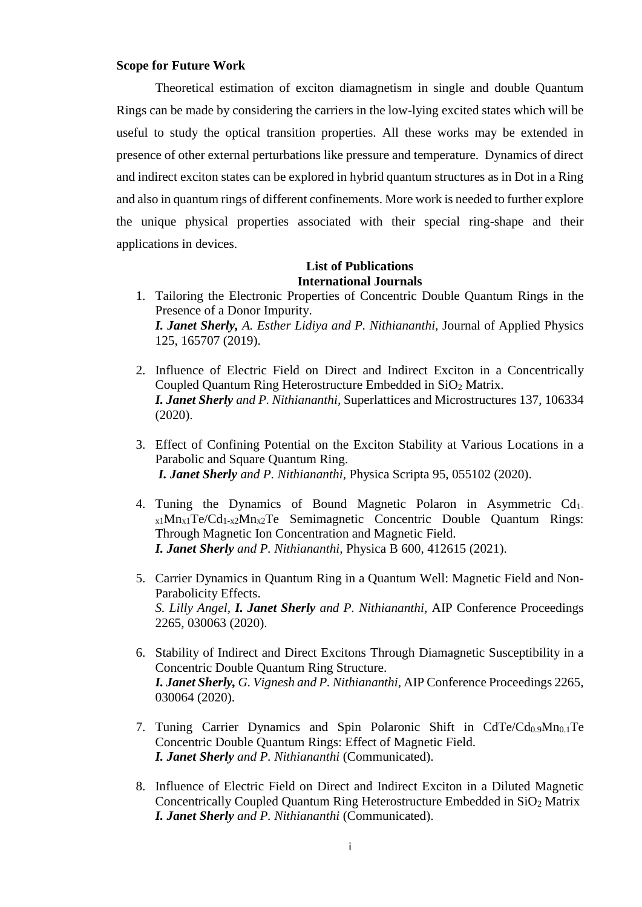#### **Scope for Future Work**

Theoretical estimation of exciton diamagnetism in single and double Quantum Rings can be made by considering the carriers in the low-lying excited states which will be useful to study the optical transition properties. All these works may be extended in presence of other external perturbations like pressure and temperature. Dynamics of direct and indirect exciton states can be explored in hybrid quantum structures as in Dot in a Ring and also in quantum rings of different confinements. More work is needed to further explore the unique physical properties associated with their special ring-shape and their applications in devices.

# **List of Publications International Journals**

- 1. Tailoring the Electronic Properties of Concentric Double Quantum Rings in the Presence of a Donor Impurity. *I. Janet Sherly, A. Esther Lidiya and P. Nithiananthi,* Journal of Applied Physics 125, 165707 (2019).
- 2. Influence of Electric Field on Direct and Indirect Exciton in a Concentrically Coupled Quantum Ring Heterostructure Embedded in SiO<sub>2</sub> Matrix. *I. Janet Sherly and P. Nithiananthi,* Superlattices and Microstructures 137, 106334 (2020).
- 3. Effect of Confining Potential on the Exciton Stability at Various Locations in a Parabolic and Square Quantum Ring. *I. Janet Sherly and P. Nithiananthi,* Physica Scripta 95, 055102 (2020).
- 4. Tuning the Dynamics of Bound Magnetic Polaron in Asymmetric Cd1  $x_1Mn_{x_1}Te/Cd_{1-x_2}Mn_{x_2}Te$  Semimagnetic Concentric Double Quantum Rings: Through Magnetic Ion Concentration and Magnetic Field. *I. Janet Sherly and P. Nithiananthi,* Physica B 600, 412615 (2021).
- 5. Carrier Dynamics in Quantum Ring in a Quantum Well: Magnetic Field and Non-Parabolicity Effects. *S. Lilly Angel, I. Janet Sherly and P. Nithiananthi,* AIP Conference Proceedings 2265, 030063 (2020).
- 6. Stability of Indirect and Direct Excitons Through Diamagnetic Susceptibility in a Concentric Double Quantum Ring Structure. *I. Janet Sherly, G. Vignesh and P. Nithiananthi,* AIP Conference Proceedings 2265, 030064 (2020).
- 7. Tuning Carrier Dynamics and Spin Polaronic Shift in  $CdTe/Cd_{0.9}Mn_{0.1}Te$ Concentric Double Quantum Rings: Effect of Magnetic Field. *I. Janet Sherly and P. Nithiananthi* (Communicated).
- 8. Influence of Electric Field on Direct and Indirect Exciton in a Diluted Magnetic Concentrically Coupled Quantum Ring Heterostructure Embedded in SiO<sup>2</sup> Matrix *I. Janet Sherly and P. Nithiananthi* (Communicated).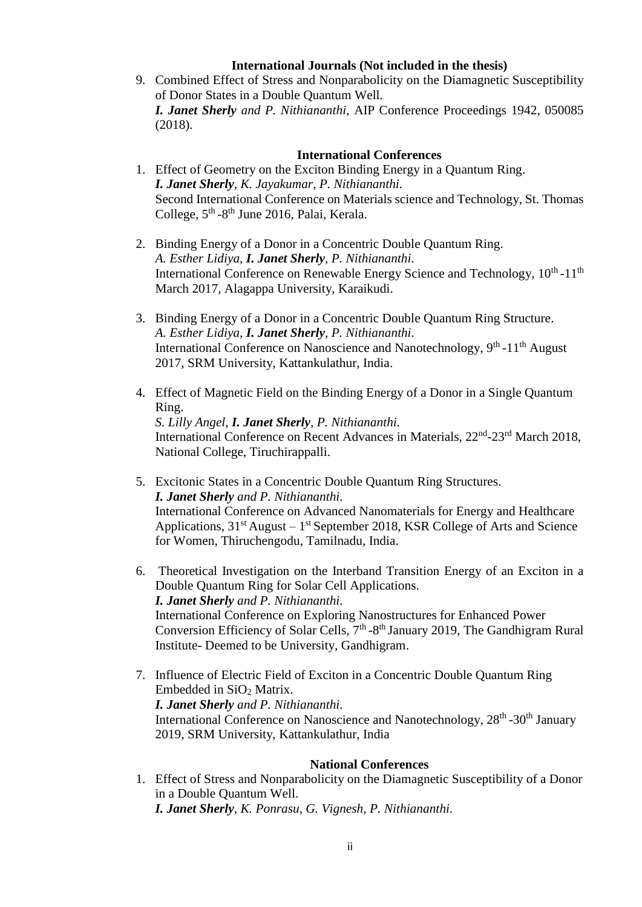# **International Journals (Not included in the thesis)**

9. Combined Effect of Stress and Nonparabolicity on the Diamagnetic Susceptibility of Donor States in a Double Quantum Well. *I. Janet Sherly and P. Nithiananthi,* AIP Conference Proceedings 1942, 050085 (2018).

# **International Conferences**

- 1. Effect of Geometry on the Exciton Binding Energy in a Quantum Ring. *I. Janet Sherly, K. Jayakumar, P. Nithiananthi.* Second International Conference on Materials science and Technology, St. Thomas College, 5<sup>th</sup> -8<sup>th</sup> June 2016, Palai, Kerala.
- 2. Binding Energy of a Donor in a Concentric Double Quantum Ring. *A. Esther Lidiya, I. Janet Sherly, P. Nithiananthi.* International Conference on Renewable Energy Science and Technology,  $10^{th}$ - $11^{th}$ March 2017, Alagappa University, Karaikudi.
- 3. Binding Energy of a Donor in a Concentric Double Quantum Ring Structure. *A. Esther Lidiya, I. Janet Sherly, P. Nithiananthi.* International Conference on Nanoscience and Nanotechnology, 9<sup>th</sup> -11<sup>th</sup> August 2017, SRM University, Kattankulathur, India.
- 4. Effect of Magnetic Field on the Binding Energy of a Donor in a Single Quantum Ring. *S. Lilly Angel, I. Janet Sherly, P. Nithiananthi.* International Conference on Recent Advances in Materials, 22<sup>nd</sup>-23<sup>rd</sup> March 2018, National College, Tiruchirappalli.
- 5. Excitonic States in a Concentric Double Quantum Ring Structures. *I. Janet Sherly and P. Nithiananthi.* International Conference on Advanced Nanomaterials for Energy and Healthcare Applications,  $31<sup>st</sup>$  August –  $1<sup>st</sup>$  September 2018, KSR College of Arts and Science for Women, Thiruchengodu, Tamilnadu, India.
- 6. Theoretical Investigation on the Interband Transition Energy of an Exciton in a Double Quantum Ring for Solar Cell Applications. *I. Janet Sherly and P. Nithiananthi.* International Conference on Exploring Nanostructures for Enhanced Power Conversion Efficiency of Solar Cells,  $7<sup>th</sup>$ -8<sup>th</sup> January 2019, The Gandhigram Rural Institute- Deemed to be University, Gandhigram.
- 7. Influence of Electric Field of Exciton in a Concentric Double Quantum Ring Embedded in SiO<sub>2</sub> Matrix. *I. Janet Sherly and P. Nithiananthi.* International Conference on Nanoscience and Nanotechnology, 28<sup>th</sup> -30<sup>th</sup> January 2019, SRM University, Kattankulathur, India

# **National Conferences**

1. Effect of Stress and Nonparabolicity on the Diamagnetic Susceptibility of a Donor in a Double Quantum Well. *I. Janet Sherly, K. Ponrasu, G. Vignesh, P. Nithiananthi.*